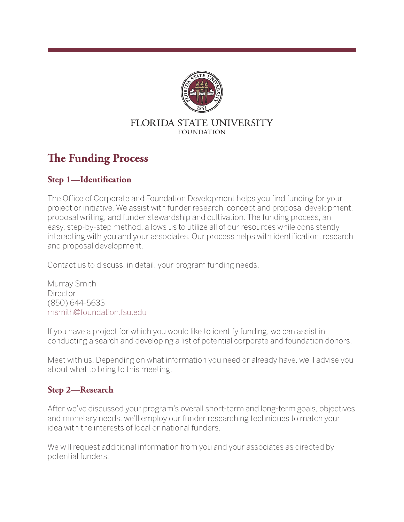

#### FLORIDA STATE UNIVERSITY **FOUNDATION**

# **The Funding Process**

# **Step 1-Identification**

The Office of Corporate and Foundation Development helps you find funding for your project or initiative. We assist with funder research, concept and proposal development, proposal writing, and funder stewardship and cultivation. The funding process, an easy, step-by-step method, allows us to utilize all of our resources while consistently interacting with you and your associates. Our process helps with identification, research and proposal development.

Contact us to discuss, in detail, your program funding needs.

Murray Smith **Director** (850) 644-5633 msmith@foundation.fsu.edu

If you have a project for which you would like to identify funding, we can assist in conducting a search and developing a list of potential corporate and foundation donors.

Meet with us. Depending on what information you need or already have, we'll advise you about what to bring to this meeting.

## **Step 2—Research**

After we've discussed your program's overall short-term and long-term goals, objectives and monetary needs, we'll employ our funder researching techniques to match your idea with the interests of local or national funders.

We will request additional information from you and your associates as directed by potential funders.